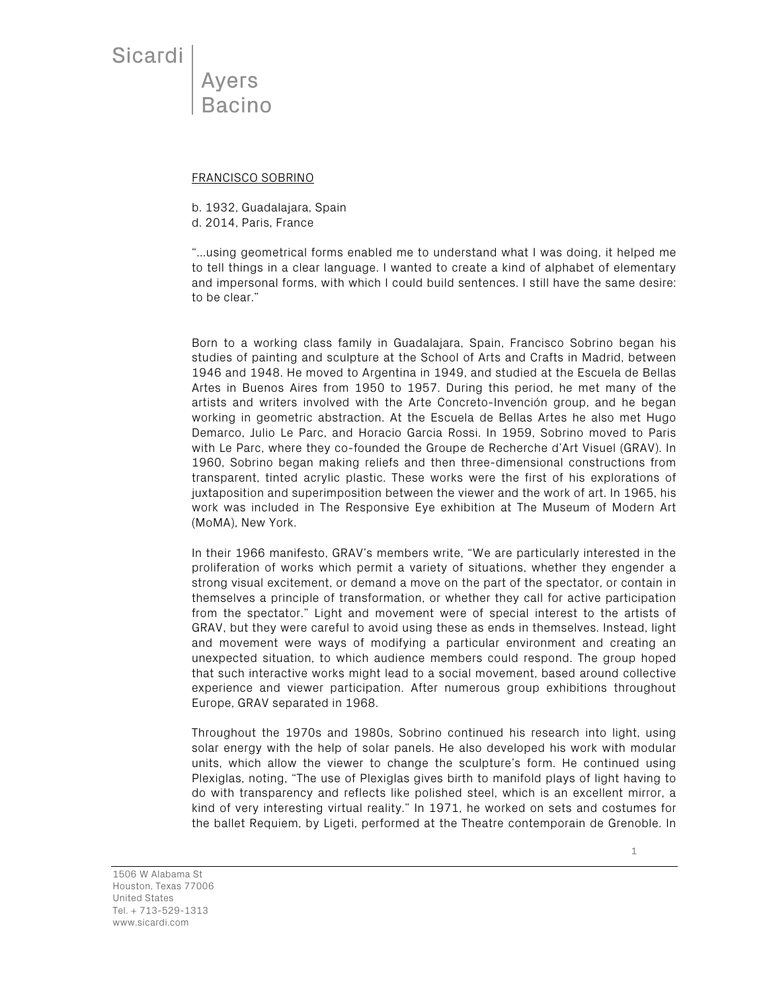Sicardi

**Ayers Bacino** 

## FRANCISCO SOBRINO

b. 1932, Guadalajara, Spain

d. 2014, Paris, France

"…using geometrical forms enabled me to understand what I was doing, it helped me to tell things in a clear language. I wanted to create a kind of alphabet of elementary and impersonal forms, with which I could build sentences. I still have the same desire: to be clear."

Born to a working class family in Guadalajara, Spain, Francisco Sobrino began his studies of painting and sculpture at the School of Arts and Crafts in Madrid, between 1946 and 1948. He moved to Argentina in 1949, and studied at the Escuela de Bellas Artes in Buenos Aires from 1950 to 1957. During this period, he met many of the artists and writers involved with the Arte Concreto-Invención group, and he began working in geometric abstraction. At the Escuela de Bellas Artes he also met Hugo Demarco, Julio Le Parc, and Horacio Garcia Rossi. In 1959, Sobrino moved to Paris with Le Parc, where they co-founded the Groupe de Recherche d'Art Visuel (GRAV). In 1960, Sobrino began making reliefs and then three-dimensional constructions from transparent, tinted acrylic plastic. These works were the first of his explorations of juxtaposition and superimposition between the viewer and the work of art. In 1965, his work was included in The Responsive Eye exhibition at The Museum of Modern Art (MoMA), New York.

In their 1966 manifesto, GRAV's members write, "We are particularly interested in the proliferation of works which permit a variety of situations, whether they engender a strong visual excitement, or demand a move on the part of the spectator, or contain in themselves a principle of transformation, or whether they call for active participation from the spectator." Light and movement were of special interest to the artists of GRAV, but they were careful to avoid using these as ends in themselves. Instead, light and movement were ways of modifying a particular environment and creating an unexpected situation, to which audience members could respond. The group hoped that such interactive works might lead to a social movement, based around collective experience and viewer participation. After numerous group exhibitions throughout Europe, GRAV separated in 1968.

Throughout the 1970s and 1980s, Sobrino continued his research into light, using solar energy with the help of solar panels. He also developed his work with modular units, which allow the viewer to change the sculpture's form. He continued using Plexiglas, noting, "The use of Plexiglas gives birth to manifold plays of light having to do with transparency and reflects like polished steel, which is an excellent mirror, a kind of very interesting virtual reality." In 1971, he worked on sets and costumes for the ballet Requiem, by Ligeti, performed at the Theatre contemporain de Grenoble. In